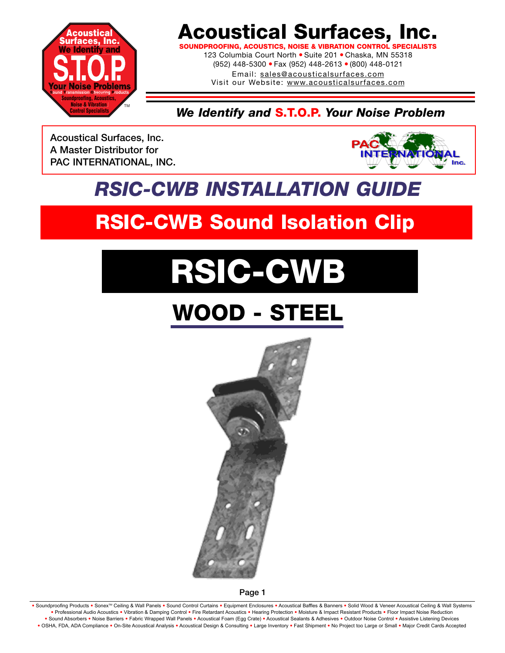

**SOUNDPROOFING, ACOUSTICS, NOISE & VIBRATION CONTROL SP** 

123 Columbia Court North · Suite 201 · Chaska, MN 55318 (952) 448-5300 ● Fax (952) 448-2613 ● (800) 448-0121 Email: sales@acousticalsurfaces.com

Visit our Website: www.acousticalsurfaces.com

*We Identify and* **S.T.O.P.** *Your Noise Problem*

**Acoustical Surfaces, Inc. A Master Distributor for PAC INTERNATIONAL, INC.**



# *RSIC-CWB INSTALLATION GUIDE*

# **RSIC-CWB Sound Isolation Clip**

# **RSIC-CWB**

# **WOOD - STEEL**



**Page 1**

Soundproofing Products . Sonex<sup>TM</sup> Ceiling & Wall Panels . Sound Control Curtains . Equipment Enclosures . Acoustical Baffles & Banners . Solid Wood & Veneer Acoustical Ceiling & Wall Systems **•** Professional Audio Acoustics **•** Vibration & Damping Control **•** Fire Retardant Acoustics **•** Hearing Protection **•** Moisture & Impact Resistant Products **•** Floor Impact Noise Reduction . Sound Absorbers . Noise Barriers . Fabric Wrapped Wall Panels . Acoustical Foam (Egg Crate) . Acoustical Sealants & Adhesives . Outdoor Noise Control . Assistive Listening Devices . OSHA, FDA, ADA Compliance . On-Site Acoustical Analysis . Acoustical Design & Consulting . Large Inventory . Fast Shipment . No Project too Large or Small . Major Credit Cards Accepted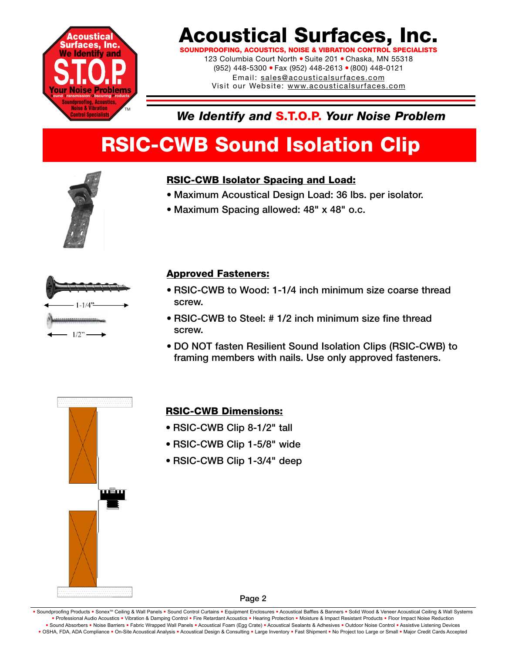

**SOUNDPROOFING, ACOUSTICS, NOISE & VIBRATION CONTROL SPI** 123 Columbia Court North · Suite 201 · Chaska, MN 55318

(952) 448-5300 ● Fax (952) 448-2613 ● (800) 448-0121 Email: sales@acousticalsurfaces.com Visit our Website: www.acousticalsurfaces.com

### *We Identify and* **S.T.O.P.** *Your Noise Problem*

# **RSIC-CWB Sound Isolation Clip**



### **RSIC-CWB Isolator Spacing and Load:**

- **Maximum Acoustical Design Load: 36 lbs. per isolator.**
- **Maximum Spacing allowed: 48" x 48" o.c.**



### **Approved Fasteners:**

- **RSIC-CWB to Wood: 1-1/4 inch minimum size coarse thread screw.**
- **RSIC-CWB to Steel: # 1/2 inch minimum size fine thread screw.**
- **DO NOT fasten Resilient Sound Isolation Clips (RSIC-CWB) to framing members with nails. Use only approved fasteners.**



### **RSIC-CWB Dimensions:**

- **RSIC-CWB Clip 8-1/2" tall**
- **RSIC-CWB Clip 1-5/8" wide**
- **RSIC-CWB Clip 1-3/4" deep**

**Page 2**

. Soundproofing Products . Sonex™ Ceiling & Wall Panels . Sound Control Curtains . Equipment Enclosures . Acoustical Baffles & Banners . Solid Wood & Veneer Acoustical Ceiling & Wall Systems **•** Professional Audio Acoustics **•** Vibration & Damping Control **•** Fire Retardant Acoustics **•** Hearing Protection **•** Moisture & Impact Resistant Products **•** Floor Impact Noise Reduction . Sound Absorbers . Noise Barriers . Fabric Wrapped Wall Panels . Acoustical Foam (Egg Crate) . Acoustical Sealants & Adhesives . Outdoor Noise Control . Assistive Listening Devices . OSHA, FDA, ADA Compliance . On-Site Acoustical Analysis . Acoustical Design & Consulting . Large Inventory . Fast Shipment . No Project too Large or Small . Major Credit Cards Accepted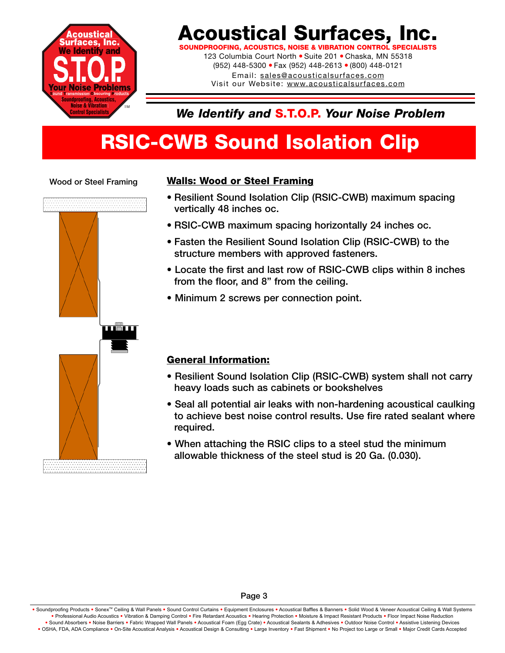

**SOUNDPROOFING, ACOUSTICS, NOISE & VIBRATION CONTROL SF** 

123 Columbia Court North · Suite 201 · Chaska, MN 55318 (952) 448-5300 ● Fax (952) 448-2613 ● (800) 448-0121 Email: sales@acousticalsurfaces.com Visit our Website: www.acousticalsurfaces.com

### *We Identify and* **S.T.O.P.** *Your Noise Problem*

# **RSIC-CWB Sound Isolation Clip**

#### **Wood or Steel Framing**



### **Walls: Wood or Steel Framing**

- **Resilient Sound Isolation Clip (RSIC-CWB) maximum spacing vertically 48 inches oc.**
- **RSIC-CWB maximum spacing horizontally 24 inches oc.**
- **Fasten the Resilient Sound Isolation Clip (RSIC-CWB) to the structure members with approved fasteners.**
- **Locate the first and last row of RSIC-CWB clips within 8 inches from the floor, and 8" from the ceiling.**
- **Minimum 2 screws per connection point.**

#### **General Information:**

- **Resilient Sound Isolation Clip (RSIC-CWB) system shall not carry heavy loads such as cabinets or bookshelves**
- **Seal all potential air leaks with non-hardening acoustical caulking to achieve best noise control results. Use fire rated sealant where required.**
- **When attaching the RSIC clips to a steel stud the minimum allowable thickness of the steel stud is 20 Ga. (0.030).**

Soundproofing Products . Sonex<sup>TM</sup> Ceiling & Wall Panels . Sound Control Curtains . Equipment Enclosures . Acoustical Baffles & Banners . Solid Wood & Veneer Acoustical Ceiling & Wall Systems **•** Professional Audio Acoustics **•** Vibration & Damping Control **•** Fire Retardant Acoustics **•** Hearing Protection **•** Moisture & Impact Resistant Products **•** Floor Impact Noise Reduction · Sound Absorbers · Noise Barriers · Fabric Wrapped Wall Panels · Acoustical Foam (Egg Crate) · Acoustical Sealants & Adhesives · Outdoor Noise Control · Assistive Listening Devices . OSHA, FDA, ADA Compliance . On-Site Acoustical Analysis . Acoustical Design & Consulting . Large Inventory . Fast Shipment . No Project too Large or Small . Major Credit Cards Accepted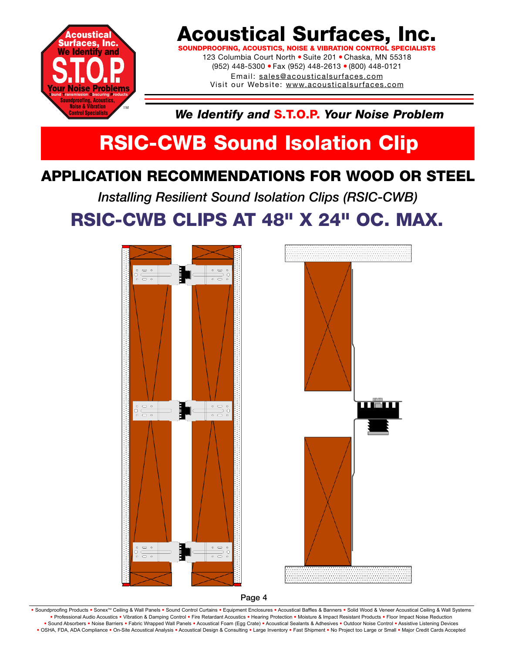

**SOUNDPROOFING, ACOUSTICS, NOISE & VIBRATION CONTROL** 

123 Columbia Court North ● Suite 201 ● Chaska, MN 55318 (952) 448-5300 ● Fax (952) 448-2613 ● (800) 448-0121 Email: sales@acousticalsurfaces.com Visit our Website: www.acousticalsurfaces.com

*We Identify and* **S.T.O.P.** *Your Noise Problem*

# **RSIC-CWB Sound Isolation Clip**

### **APPLICATION RECOMMENDATIONS FOR WOOD OR STEEL**

*Installing Resilient Sound Isolation Clips (RSIC-CWB)* **RSIC-CWB CLIPS AT 48" X 24" OC. MAX.**





**Page 4**

Soundproofing Products . Sonex™ Ceiling & Wall Panels . Sound Control Curtains . Equipment Enclosures . Acoustical Baffles & Banners . Solid Wood & Veneer Acoustical Ceiling & Wall Systems **•** Professional Audio Acoustics **•** Vibration & Damping Control **•** Fire Retardant Acoustics **•** Hearing Protection **•** Moisture & Impact Resistant Products **•** Floor Impact Noise Reduction . Sound Absorbers . Noise Barriers . Fabric Wrapped Wall Panels . Acoustical Foam (Egg Crate) . Acoustical Sealants & Adhesives . Outdoor Noise Control . Assistive Listening Devices . OSHA, FDA, ADA Compliance . On-Site Acoustical Analysis . Acoustical Design & Consulting . Large Inventory . Fast Shipment . No Project too Large or Small . Major Credit Cards Accepted